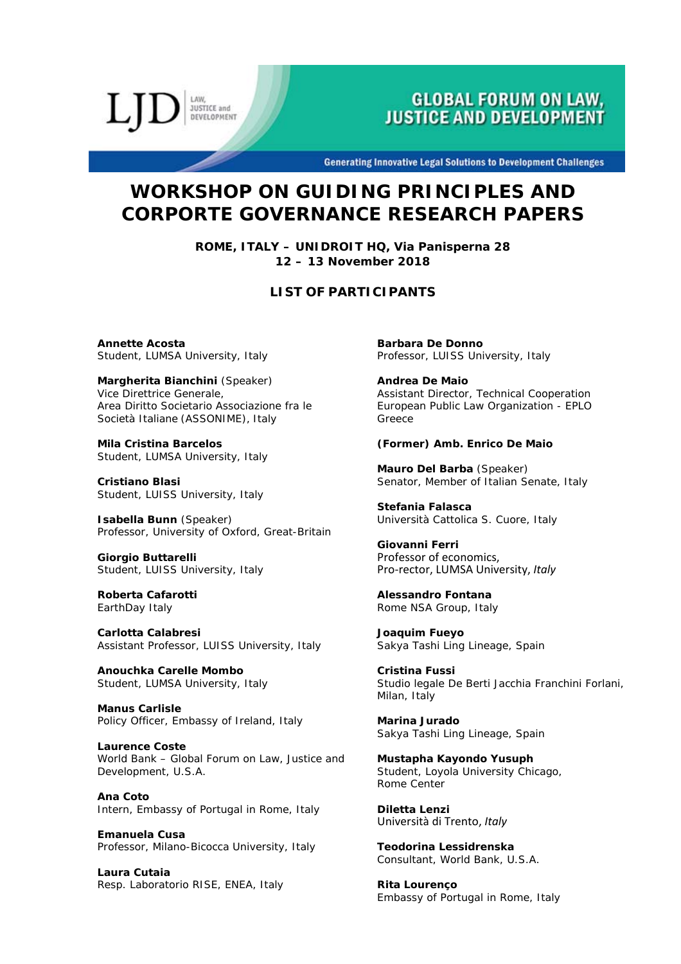LAW **JUSTICE and DEVELOPMENT** 

# **GLOBAL FORUM ON LAW, JUSTICE AND DEVELOPMENT**

**Generating Innovative Legal Solutions to Development Challenges** 

# **WORKSHOP ON GUIDING PRINCIPLES AND CORPORTE GOVERNANCE RESEARCH PAPERS**

**ROME, ITALY – UNIDROIT HQ, Via Panisperna 28 12 – 13 November 2018** 

## **LIST OF PARTICIPANTS**

**Annette Acosta**  Student, LUMSA University, *Italy*

**Margherita Bianchini** *(Speaker)* Vice Direttrice Generale, Area Diritto Societario Associazione fra le Società Italiane (ASSONIME), *Italy*

**Mila Cristina Barcelos**  Student, LUMSA University, *Italy*

**Cristiano Blasi**  Student, LUISS University, *Italy* 

**Isabella Bunn** *(Speaker)* Professor, University of Oxford, *Great-Britain*

**Giorgio Buttarelli**  Student, LUISS University, *Italy*

**Roberta Cafarotti**  EarthDay Italy

**Carlotta Calabresi**  Assistant Professor, LUISS University, *Italy*

**Anouchka Carelle Mombo**  Student, LUMSA University, *Italy*

**Manus Carlisle**  Policy Officer, Embassy of Ireland, *Italy*

**Laurence Coste**  World Bank – Global Forum on Law, Justice and Development, *U.S.A.*

**Ana Coto**  Intern, Embassy of Portugal in Rome, *Italy*

**Emanuela Cusa**  Professor, Milano-Bicocca University, *Italy*

**Laura Cutaia**  Resp. Laboratorio RISE, ENEA, *Italy*  **Barbara De Donno**  Professor, LUISS University, *Italy*

**Andrea De Maio**  Assistant Director, Technical Cooperation European Public Law Organization - EPLO *Greece*

### **(Former) Amb. Enrico De Maio**

**Mauro Del Barba** (*Speaker*) Senator, Member of Italian Senate, *Italy* 

**Stefania Falasca**  Università Cattolica S. Cuore, Italy

**Giovanni Ferri**  Professor of economics, Pro‐rector, LUMSA University, *Italy*

**Alessandro Fontana**  Rome NSA Group, *Italy*

**Joaquim Fueyo**  Sakya Tashi Ling Lineage, *Spain*

**Cristina Fussi**  Studio legale De Berti Jacchia Franchini Forlani, Milan, *Italy*

**Marina Jurado**  Sakya Tashi Ling Lineage, *Spain* 

**Mustapha Kayondo Yusuph**  Student, Loyola University Chicago, *Rome Center*

**Diletta Lenzi**  Università di Trento, *Italy*

**Teodorina Lessidrenska**  Consultant, World Bank, *U.S.A.*

**Rita Lourenço**  Embassy of Portugal in Rome, *Italy*